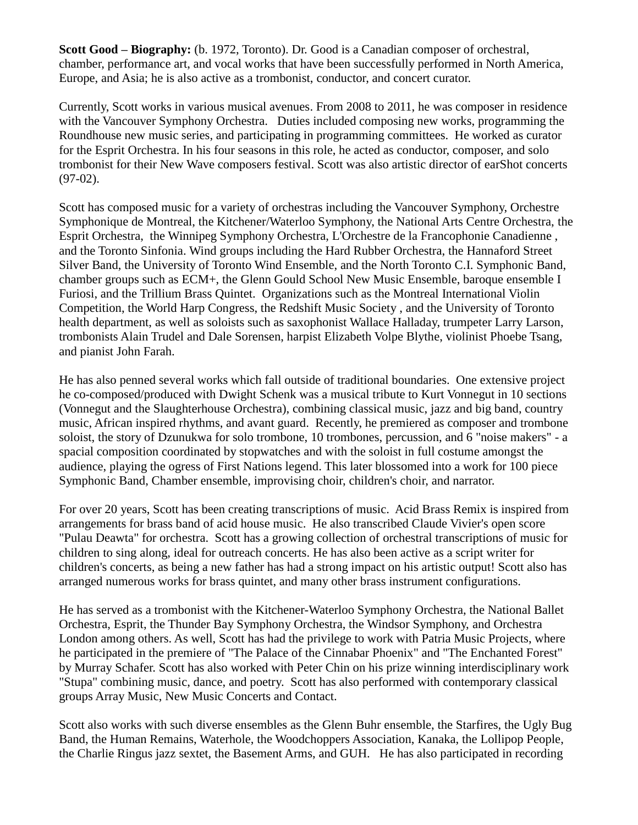**Scott Good – Biography:** (b. 1972, Toronto). Dr. Good is a Canadian composer of orchestral, chamber, performance art, and vocal works that have been successfully performed in North America, Europe, and Asia; he is also active as a trombonist, conductor, and concert curator.

Currently, Scott works in various musical avenues. From 2008 to 2011, he was composer in residence with the Vancouver Symphony Orchestra. Duties included composing new works, programming the Roundhouse new music series, and participating in programming committees. He worked as curator for the Esprit Orchestra. In his four seasons in this role, he acted as conductor, composer, and solo trombonist for their New Wave composers festival. Scott was also artistic director of earShot concerts (97-02).

Scott has composed music for a variety of orchestras including the Vancouver Symphony, Orchestre Symphonique de Montreal, the Kitchener/Waterloo Symphony, the National Arts Centre Orchestra, the Esprit Orchestra, the Winnipeg Symphony Orchestra, L'Orchestre de la Francophonie Canadienne , and the Toronto Sinfonia. Wind groups including the Hard Rubber Orchestra, the Hannaford Street Silver Band, the University of Toronto Wind Ensemble, and the North Toronto C.I. Symphonic Band, chamber groups such as ECM+, the Glenn Gould School New Music Ensemble, baroque ensemble I Furiosi, and the Trillium Brass Quintet. Organizations such as the Montreal International Violin Competition, the World Harp Congress, the Redshift Music Society , and the University of Toronto health department, as well as soloists such as saxophonist Wallace Halladay, trumpeter Larry Larson, trombonists Alain Trudel and Dale Sorensen, harpist Elizabeth Volpe Blythe, violinist Phoebe Tsang, and pianist John Farah.

He has also penned several works which fall outside of traditional boundaries. One extensive project he co-composed/produced with Dwight Schenk was a musical tribute to Kurt Vonnegut in 10 sections (Vonnegut and the Slaughterhouse Orchestra), combining classical music, jazz and big band, country music, African inspired rhythms, and avant guard. Recently, he premiered as composer and trombone soloist, the story of Dzunukwa for solo trombone, 10 trombones, percussion, and 6 "noise makers" - a spacial composition coordinated by stopwatches and with the soloist in full costume amongst the audience, playing the ogress of First Nations legend. This later blossomed into a work for 100 piece Symphonic Band, Chamber ensemble, improvising choir, children's choir, and narrator.

For over 20 years, Scott has been creating transcriptions of music. Acid Brass Remix is inspired from arrangements for brass band of acid house music. He also transcribed Claude Vivier's open score "Pulau Deawta" for orchestra. Scott has a growing collection of orchestral transcriptions of music for children to sing along, ideal for outreach concerts. He has also been active as a script writer for children's concerts, as being a new father has had a strong impact on his artistic output! Scott also has arranged numerous works for brass quintet, and many other brass instrument configurations.

He has served as a trombonist with the Kitchener-Waterloo Symphony Orchestra, the National Ballet Orchestra, Esprit, the Thunder Bay Symphony Orchestra, the Windsor Symphony, and Orchestra London among others. As well, Scott has had the privilege to work with Patria Music Projects, where he participated in the premiere of "The Palace of the Cinnabar Phoenix" and "The Enchanted Forest" by Murray Schafer. Scott has also worked with Peter Chin on his prize winning interdisciplinary work "Stupa" combining music, dance, and poetry. Scott has also performed with contemporary classical groups Array Music, New Music Concerts and Contact.

Scott also works with such diverse ensembles as the Glenn Buhr ensemble, the Starfires, the Ugly Bug Band, the Human Remains, Waterhole, the Woodchoppers Association, Kanaka, the Lollipop People, the Charlie Ringus jazz sextet, the Basement Arms, and GUH. He has also participated in recording